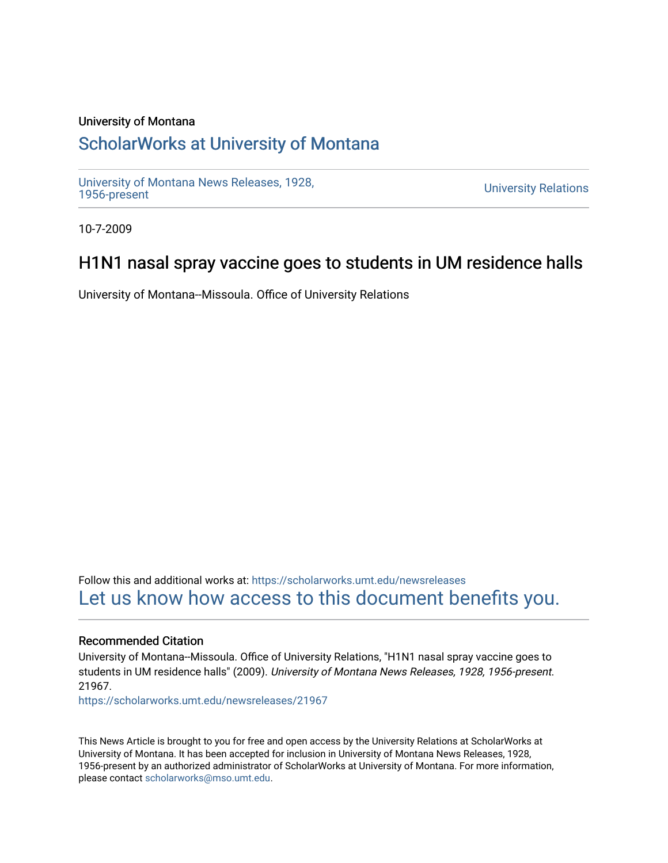#### University of Montana

# [ScholarWorks at University of Montana](https://scholarworks.umt.edu/)

[University of Montana News Releases, 1928,](https://scholarworks.umt.edu/newsreleases) 

**University Relations** 

10-7-2009

## H1N1 nasal spray vaccine goes to students in UM residence halls

University of Montana--Missoula. Office of University Relations

Follow this and additional works at: [https://scholarworks.umt.edu/newsreleases](https://scholarworks.umt.edu/newsreleases?utm_source=scholarworks.umt.edu%2Fnewsreleases%2F21967&utm_medium=PDF&utm_campaign=PDFCoverPages) [Let us know how access to this document benefits you.](https://goo.gl/forms/s2rGfXOLzz71qgsB2) 

#### Recommended Citation

University of Montana--Missoula. Office of University Relations, "H1N1 nasal spray vaccine goes to students in UM residence halls" (2009). University of Montana News Releases, 1928, 1956-present. 21967.

[https://scholarworks.umt.edu/newsreleases/21967](https://scholarworks.umt.edu/newsreleases/21967?utm_source=scholarworks.umt.edu%2Fnewsreleases%2F21967&utm_medium=PDF&utm_campaign=PDFCoverPages) 

This News Article is brought to you for free and open access by the University Relations at ScholarWorks at University of Montana. It has been accepted for inclusion in University of Montana News Releases, 1928, 1956-present by an authorized administrator of ScholarWorks at University of Montana. For more information, please contact [scholarworks@mso.umt.edu.](mailto:scholarworks@mso.umt.edu)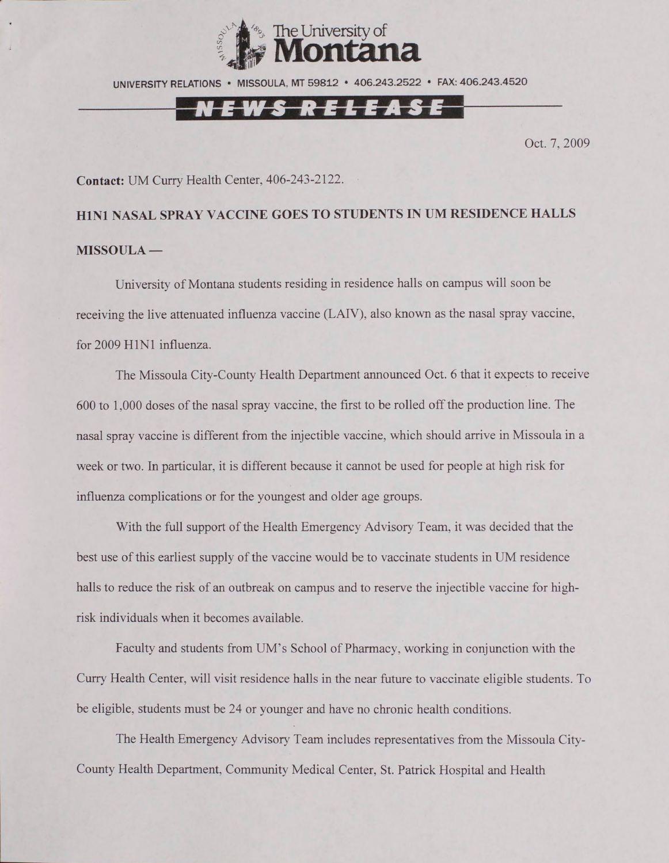

UNIVERSITY RELATIONS • MISSOULA. MT 59812 • 406.243.2522 • FAX: 406.243.4520

### N E W S R E L E A S E

Oct. 7, 2009

**Contact:** UM Curry Health Center, 406-243-2122.

### **H1N1 NASAL SPRAY VACCINE GOES TO STUDENTS IN UM RESIDENCE HALLS MISSOULA —**

University of Montana students residing in residence halls on campus will soon be receiving the live attenuated influenza vaccine (LAIV), also known as the nasal spray vaccine, for 2009 H1N1 influenza.

The Missoula City-County Health Department announced Oct. 6 that it expects to receive 600 to 1,000 doses of the nasal spray vaccine, the first to be rolled off the production line. The nasal spray vaccine is different from the injectible vaccine, which should arrive in Missoula in a week or two. In particular, it is different because it cannot be used for people at high risk for influenza complications or for the youngest and older age groups.

With the full support of the Health Emergency Advisory Team, it was decided that the best use of this earliest supply of the vaccine would be to vaccinate students in UM residence halls to reduce the risk of an outbreak on campus and to reserve the injectible vaccine for highrisk individuals when it becomes available.

Faculty and students from UM's School of Pharmacy, working in conjunction with the Curry Health Center, will visit residence halls in the near future to vaccinate eligible students. To be eligible, students must be 24 or younger and have no chronic health conditions.

The Health Emergency Advisory Team includes representatives from the Missoula City-County Health Department, Community Medical Center, St. Patrick Hospital and Health